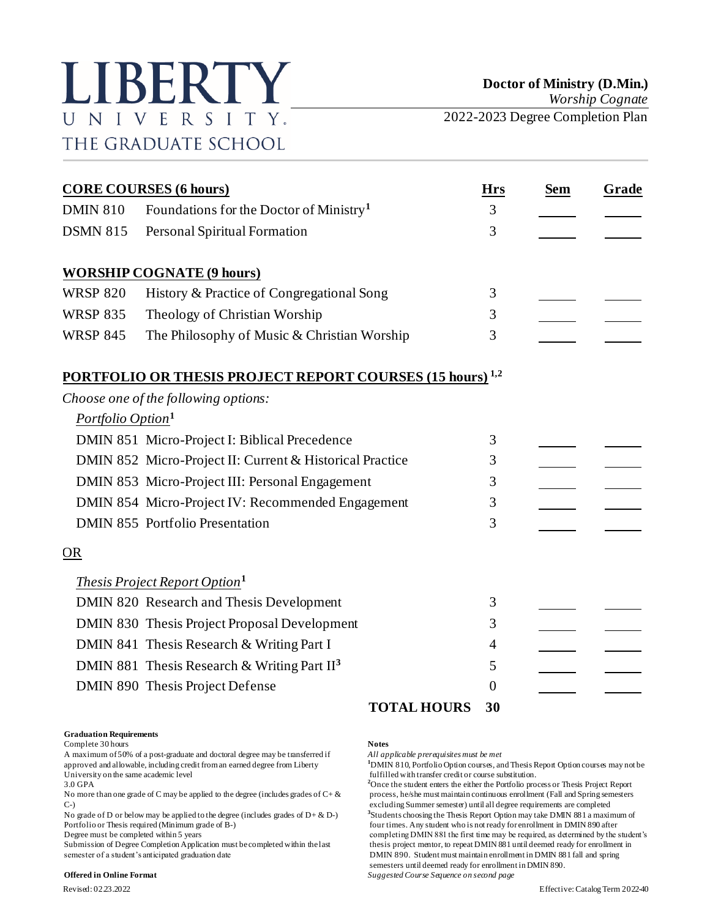# LIBERTY UNIVERSITY. THE GRADUATE SCHOOL

|                               | <b>CORE COURSES (6 hours)</b>                                    | Hrs            | <b>Sem</b> | Grade |
|-------------------------------|------------------------------------------------------------------|----------------|------------|-------|
| <b>DMIN 810</b>               | Foundations for the Doctor of Ministry <sup>1</sup>              | 3              |            |       |
| <b>DSMN 815</b>               | Personal Spiritual Formation                                     | $\overline{3}$ |            |       |
|                               | <b>WORSHIP COGNATE (9 hours)</b>                                 |                |            |       |
| <b>WRSP 820</b>               | History & Practice of Congregational Song                        | 3              |            |       |
| <b>WRSP 835</b>               | Theology of Christian Worship                                    | 3              |            |       |
| <b>WRSP 845</b>               | The Philosophy of Music & Christian Worship                      | 3              |            |       |
|                               | <b>PORTFOLIO OR THESIS PROJECT REPORT COURSES (15 hours) 1,2</b> |                |            |       |
|                               | Choose one of the following options:                             |                |            |       |
| Portfolio Option <sup>1</sup> |                                                                  |                |            |       |
|                               | DMIN 851 Micro-Project I: Biblical Precedence                    | 3              |            |       |
|                               | DMIN 852 Micro-Project II: Current & Historical Practice         | 3              |            |       |
|                               | DMIN 853 Micro-Project III: Personal Engagement                  | 3              |            |       |
|                               | DMIN 854 Micro-Project IV: Recommended Engagement                | 3              |            |       |
|                               | <b>DMIN 855 Portfolio Presentation</b>                           | 3              |            |       |
| <u>OR</u>                     |                                                                  |                |            |       |
|                               | <b>Thesis Project Report Option</b> <sup>1</sup>                 |                |            |       |
|                               | DMIN 820 Research and Thesis Development                         | 3              |            |       |
|                               | DMIN 830 Thesis Project Proposal Development                     | 3              |            |       |
|                               | DMIN 841 Thesis Research & Writing Part I                        | $\overline{4}$ |            |       |
|                               | DMIN 881 Thesis Research & Writing Part II <sup>3</sup>          | 5              |            |       |
|                               | DMIN 890 Thesis Project Defense                                  | 0              |            |       |
|                               | <b>TOTAL HOURS</b>                                               | 30             |            |       |

### **Graduation Requirements**

Complete 30 hours **Notes**

A maximum of 50% of a post-graduate and doctoral degree may be transferred if *All applicable prerequisites must be met* University on the same academic level<br>
3.0 GPA<br>
<sup>2</sup>Once the student enters the either the Portfolio pro-

No grade of D or below may be applied to the degree (includes grades of  $D + \& D$ -)

### **Offered in Online Format** *Suggested Course Sequence on second page*

<sup>1</sup>DMIN 810, Portfolio Option courses, and Thesis Report Option courses may not be

<sup>2</sup>Once the student enters the either the Portfolio process or Thesis Project Report No more than one grade of C may be applied to the degree (includes grades of  $C + \&$  process, he/she must maintain continuous enrollment (Fall and Spring semesters C-) excluding Summer semester) until all degree requirements are completed **3** Students choosing the Thesis Report Option may take DMIN 881 a maximum of Portfolio or Thesis required (Minimum grade of B-) four times. Any student who is not ready for enrollment in DMIN 890 after<br>Degree must be completed within 5 years for enrollment in DMIN 881 the first time may be required completing DMIN 881 the first time may be required, as determined by the student's Submission of Degree Completion Application must be completed within the last thesis project mentor, to repeat DMIN 881 until deemed ready for enrollment in semester of a student's anticipated graduation date DMIN 890. Student must maintain enrollment in DMIN 881 fall and spring semesters until deemed ready for enrollment in DMIN 890.